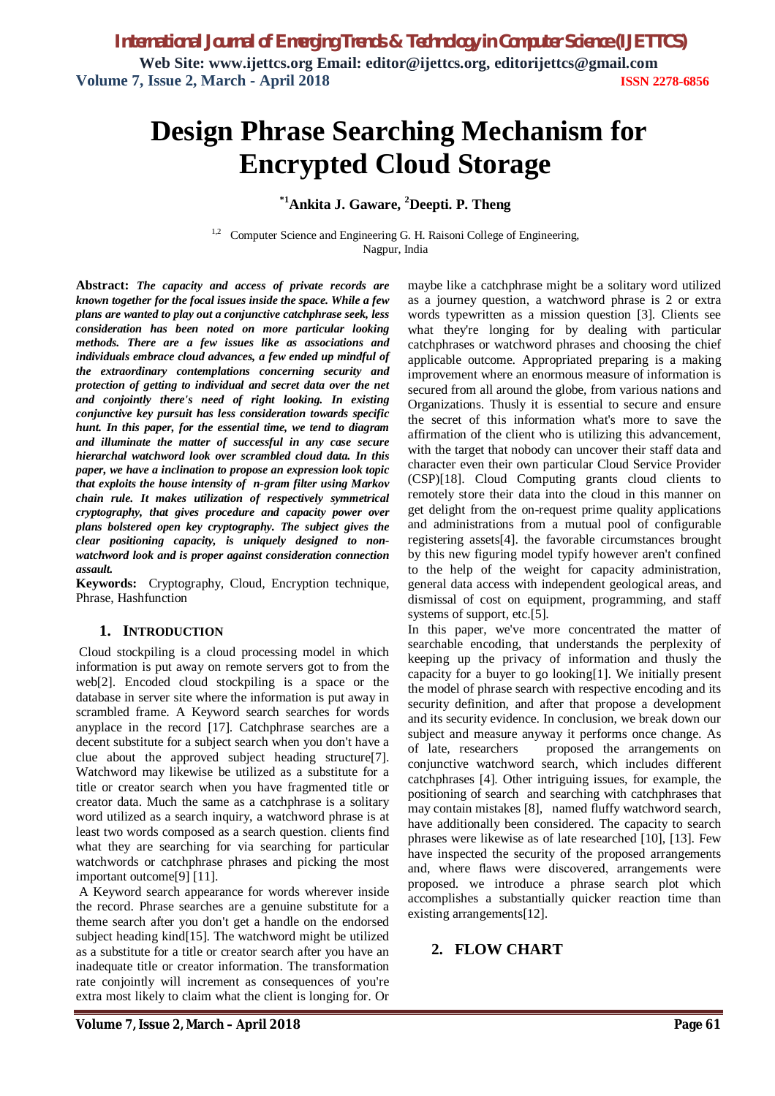# **Design Phrase Searching Mechanism for Encrypted Cloud Storage**

## **\*1Ankita J. Gaware, <sup>2</sup>Deepti. P. Theng**

<sup>1,2</sup> Computer Science and Engineering G. H. Raisoni College of Engineering, Nagpur, India

**Abstract:** *The capacity and access of private records are known together for the focal issues inside the space. While a few plans are wanted to play out a conjunctive catchphrase seek, less consideration has been noted on more particular looking methods. There are a few issues like as associations and individuals embrace cloud advances, a few ended up mindful of the extraordinary contemplations concerning security and protection of getting to individual and secret data over the net and conjointly there's need of right looking. In existing conjunctive key pursuit has less consideration towards specific hunt. In this paper, for the essential time, we tend to diagram and illuminate the matter of successful in any case secure hierarchal watchword look over scrambled cloud data. In this paper, we have a inclination to propose an expression look topic that exploits the house intensity of n-gram filter using Markov chain rule. It makes utilization of respectively symmetrical cryptography, that gives procedure and capacity power over plans bolstered open key cryptography. The subject gives the clear positioning capacity, is uniquely designed to nonwatchword look and is proper against consideration connection assault.*

**Keywords:** Cryptography, Cloud, Encryption technique, Phrase, Hashfunction

#### **1. INTRODUCTION**

Cloud stockpiling is a cloud processing model in which information is put away on remote servers got to from the web[2]. Encoded cloud stockpiling is a space or the database in server site where the information is put away in scrambled frame. A Keyword search searches for words anyplace in the record [17]. Catchphrase searches are a decent substitute for a subject search when you don't have a clue about the approved subject heading structure[7]. Watchword may likewise be utilized as a substitute for a title or creator search when you have fragmented title or creator data. Much the same as a catchphrase is a solitary word utilized as a search inquiry, a watchword phrase is at least two words composed as a search question. clients find what they are searching for via searching for particular watchwords or catchphrase phrases and picking the most important outcome[9] [11].

A Keyword search appearance for words wherever inside the record. Phrase searches are a genuine substitute for a theme search after you don't get a handle on the endorsed subject heading kind[15]. The watchword might be utilized as a substitute for a title or creator search after you have an inadequate title or creator information. The transformation rate conjointly will increment as consequences of you're extra most likely to claim what the client is longing for. Or

maybe like a catchphrase might be a solitary word utilized as a journey question, a watchword phrase is 2 or extra words typewritten as a mission question [3]. Clients see what they're longing for by dealing with particular catchphrases or watchword phrases and choosing the chief applicable outcome. Appropriated preparing is a making improvement where an enormous measure of information is secured from all around the globe, from various nations and Organizations. Thusly it is essential to secure and ensure the secret of this information what's more to save the affirmation of the client who is utilizing this advancement, with the target that nobody can uncover their staff data and character even their own particular Cloud Service Provider (CSP)[18]. Cloud Computing grants cloud clients to remotely store their data into the cloud in this manner on get delight from the on-request prime quality applications and administrations from a mutual pool of configurable registering assets[4]. the favorable circumstances brought by this new figuring model typify however aren't confined to the help of the weight for capacity administration, general data access with independent geological areas, and dismissal of cost on equipment, programming, and staff systems of support, etc.[5].

In this paper, we've more concentrated the matter of searchable encoding, that understands the perplexity of keeping up the privacy of information and thusly the capacity for a buyer to go looking[1]. We initially present the model of phrase search with respective encoding and its security definition, and after that propose a development and its security evidence. In conclusion, we break down our subject and measure anyway it performs once change. As of late, researchers proposed the arrangements on conjunctive watchword search, which includes different catchphrases [4]. Other intriguing issues, for example, the positioning of search and searching with catchphrases that may contain mistakes [8], named fluffy watchword search, have additionally been considered. The capacity to search phrases were likewise as of late researched [10], [13]. Few have inspected the security of the proposed arrangements and, where flaws were discovered, arrangements were proposed. we introduce a phrase search plot which accomplishes a substantially quicker reaction time than existing arrangements[12].

## **2. FLOW CHART**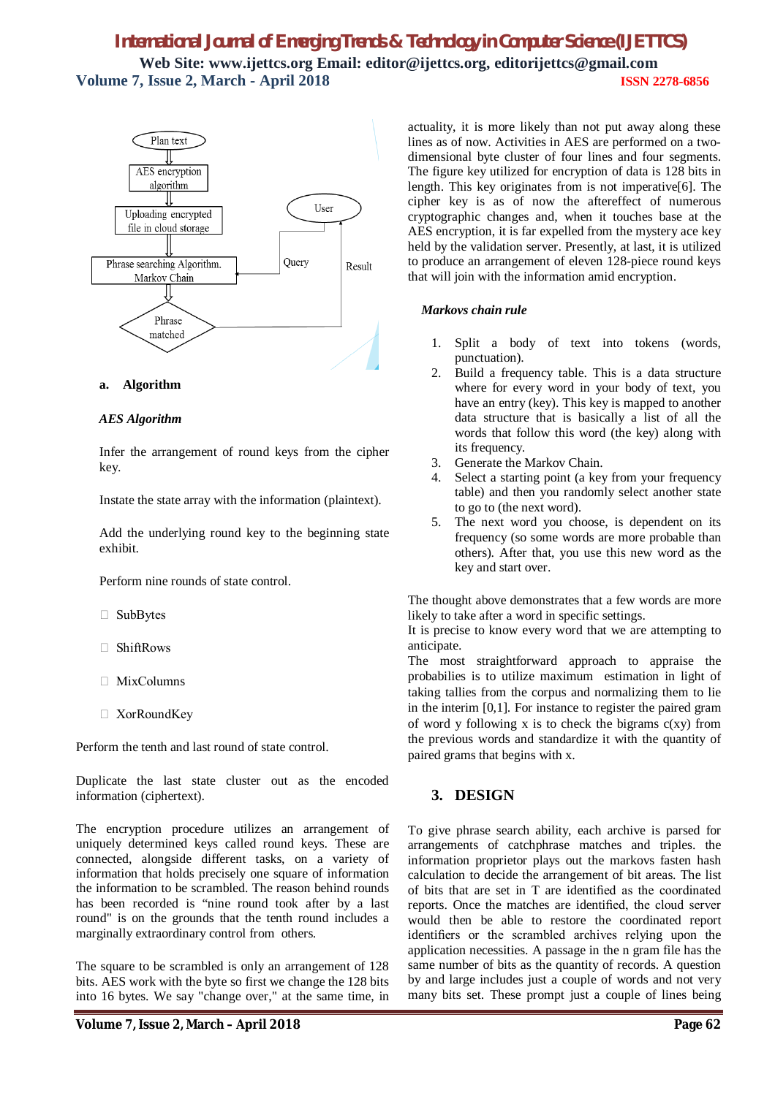

#### **a. Algorithm**

#### *AES Algorithm*

Infer the arrangement of round keys from the cipher key.

Instate the state array with the information (plaintext).

Add the underlying round key to the beginning state exhibit.

Perform nine rounds of state control.

- □ SubBytes
- □ ShiftRows
- $\Box$  MixColumns
- □ XorRoundKey

Perform the tenth and last round of state control.

Duplicate the last state cluster out as the encoded information (ciphertext).

The encryption procedure utilizes an arrangement of uniquely determined keys called round keys. These are connected, alongside different tasks, on a variety of information that holds precisely one square of information the information to be scrambled. The reason behind rounds has been recorded is "nine round took after by a last round" is on the grounds that the tenth round includes a marginally extraordinary control from others.

The square to be scrambled is only an arrangement of 128 bits. AES work with the byte so first we change the 128 bits into 16 bytes. We say "change over," at the same time, in actuality, it is more likely than not put away along these lines as of now. Activities in AES are performed on a twodimensional byte cluster of four lines and four segments. The figure key utilized for encryption of data is 128 bits in length. This key originates from is not imperative[6]. The cipher key is as of now the aftereffect of numerous cryptographic changes and, when it touches base at the AES encryption, it is far expelled from the mystery ace key held by the validation server. Presently, at last, it is utilized to produce an arrangement of eleven 128-piece round keys that will join with the information amid encryption.

#### *Markovs chain rule*

- 1. Split a body of text into tokens (words, punctuation).
- 2. Build a frequency table. This is a data structure where for every word in your body of text, you have an entry (key). This key is mapped to another data structure that is basically a list of all the words that follow this word (the key) along with its frequency.
- 3. Generate the Markov Chain.
- 4. Select a starting point (a key from your frequency table) and then you randomly select another state to go to (the next word).
- 5. The next word you choose, is dependent on its frequency (so some words are more probable than others). After that, you use this new word as the key and start over.

The thought above demonstrates that a few words are more likely to take after a word in specific settings.

It is precise to know every word that we are attempting to anticipate.

The most straightforward approach to appraise the probabilies is to utilize maximum estimation in light of taking tallies from the corpus and normalizing them to lie in the interim [0,1]. For instance to register the paired gram of word y following x is to check the bigrams  $c(xy)$  from the previous words and standardize it with the quantity of paired grams that begins with x.

## **3. DESIGN**

To give phrase search ability, each archive is parsed for arrangements of catchphrase matches and triples. the information proprietor plays out the markovs fasten hash calculation to decide the arrangement of bit areas. The list of bits that are set in T are identified as the coordinated reports. Once the matches are identified, the cloud server would then be able to restore the coordinated report identifiers or the scrambled archives relying upon the application necessities. A passage in the n gram file has the same number of bits as the quantity of records. A question by and large includes just a couple of words and not very many bits set. These prompt just a couple of lines being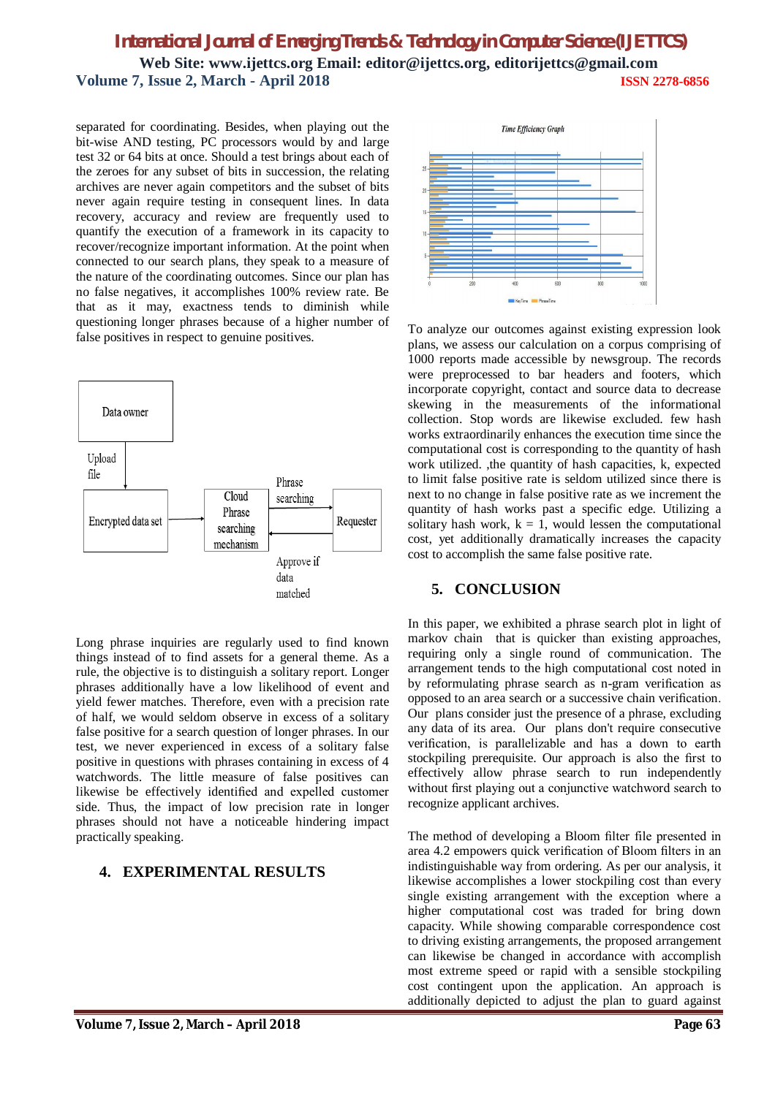separated for coordinating. Besides, when playing out the bit-wise AND testing, PC processors would by and large test 32 or 64 bits at once. Should a test brings about each of the zeroes for any subset of bits in succession, the relating archives are never again competitors and the subset of bits never again require testing in consequent lines. In data recovery, accuracy and review are frequently used to quantify the execution of a framework in its capacity to recover/recognize important information. At the point when connected to our search plans, they speak to a measure of the nature of the coordinating outcomes. Since our plan has no false negatives, it accomplishes 100% review rate. Be that as it may, exactness tends to diminish while questioning longer phrases because of a higher number of false positives in respect to genuine positives.



Long phrase inquiries are regularly used to find known things instead of to find assets for a general theme. As a rule, the objective is to distinguish a solitary report. Longer phrases additionally have a low likelihood of event and yield fewer matches. Therefore, even with a precision rate of half, we would seldom observe in excess of a solitary false positive for a search question of longer phrases. In our test, we never experienced in excess of a solitary false positive in questions with phrases containing in excess of 4 watchwords. The little measure of false positives can likewise be effectively identified and expelled customer side. Thus, the impact of low precision rate in longer phrases should not have a noticeable hindering impact practically speaking.

## **4. EXPERIMENTAL RESULTS**



To analyze our outcomes against existing expression look plans, we assess our calculation on a corpus comprising of 1000 reports made accessible by newsgroup. The records were preprocessed to bar headers and footers, which incorporate copyright, contact and source data to decrease skewing in the measurements of the informational collection. Stop words are likewise excluded. few hash works extraordinarily enhances the execution time since the computational cost is corresponding to the quantity of hash work utilized. ,the quantity of hash capacities, k, expected to limit false positive rate is seldom utilized since there is next to no change in false positive rate as we increment the quantity of hash works past a specific edge. Utilizing a solitary hash work,  $k = 1$ , would lessen the computational cost, yet additionally dramatically increases the capacity cost to accomplish the same false positive rate.

## **5. CONCLUSION**

In this paper, we exhibited a phrase search plot in light of markov chain that is quicker than existing approaches, requiring only a single round of communication. The arrangement tends to the high computational cost noted in by reformulating phrase search as n-gram verification as opposed to an area search or a successive chain verification. Our plans consider just the presence of a phrase, excluding any data of its area. Our plans don't require consecutive verification, is parallelizable and has a down to earth stockpiling prerequisite. Our approach is also the first to effectively allow phrase search to run independently without first playing out a conjunctive watchword search to recognize applicant archives.

The method of developing a Bloom filter file presented in area 4.2 empowers quick verification of Bloom filters in an indistinguishable way from ordering. As per our analysis, it likewise accomplishes a lower stockpiling cost than every single existing arrangement with the exception where a higher computational cost was traded for bring down capacity. While showing comparable correspondence cost to driving existing arrangements, the proposed arrangement can likewise be changed in accordance with accomplish most extreme speed or rapid with a sensible stockpiling cost contingent upon the application. An approach is additionally depicted to adjust the plan to guard against